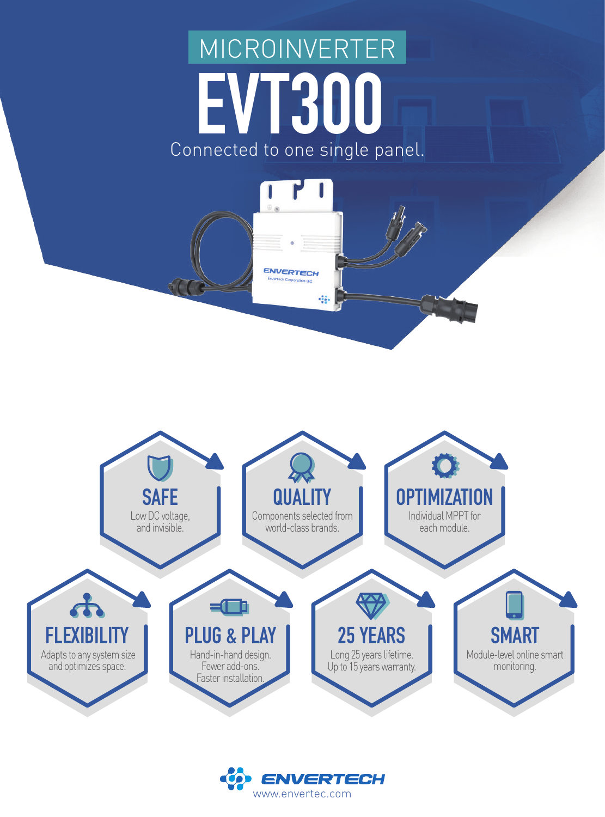## **EVT300**  Connected to one single panel. MICROINVERTER

I  $B$   $R$ 

T

ENVERTECH

ą.